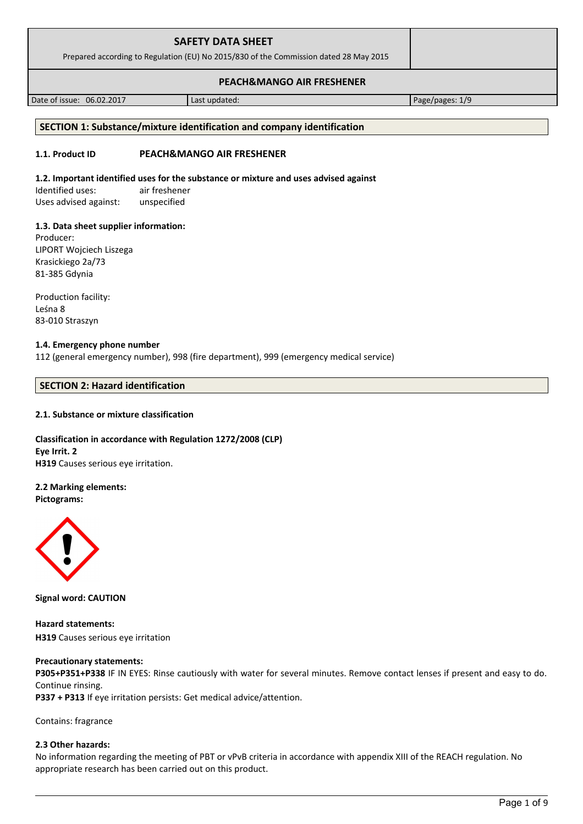| <b>SAFETY DATA SHEET</b><br>Prepared according to Regulation (EU) No 2015/830 of the Commission dated 28 May 2015 |  |
|-------------------------------------------------------------------------------------------------------------------|--|
| <b>PEACH&amp;MANGO AIR FRESHENER</b>                                                                              |  |

Date of issue: 06.02.2017 and a last updated: Page/pages: 1/9

# **SECTION 1: Substance/mixture identification and company identification**

# **1.1. Product ID PEACH&MANGO AIR FRESHENER**

# **1.2. Important identified uses for the substance or mixture and uses advised against**

Identified uses: air freshener Uses advised against: unspecified

# **1.3. Data sheet supplier information:**

Producer: LIPORT Wojciech Liszega Krasickiego 2a/73 81-385 Gdynia

Production facility: Leśna 8 83-010 Straszyn

## **1.4. Emergency phone number**

112 (general emergency number), 998 (fire department), 999 (emergency medical service)

# **SECTION 2: Hazard identification**

# **2.1. Substance or mixture classification**

**Classification in accordance with Regulation 1272/2008 (CLP) Eye Irrit. 2 H319** Causes serious eye irritation.

# **2.2 Marking elements:**

**Pictograms:**



**Signal word: CAUTION**

**Hazard statements: H319** Causes serious eye irritation

# **Precautionary statements:**

**P305+P351+P338** IF IN EYES: Rinse cautiously with water for several minutes. Remove contact lenses if present and easy to do. Continue rinsing.

**P337 + P313** If eye irritation persists: Get medical advice/attention.

Contains: fragrance

# **2.3 Other hazards:**

No information regarding the meeting of PBT or vPvB criteria in accordance with appendix XIII of the REACH regulation. No appropriate research has been carried out on this product.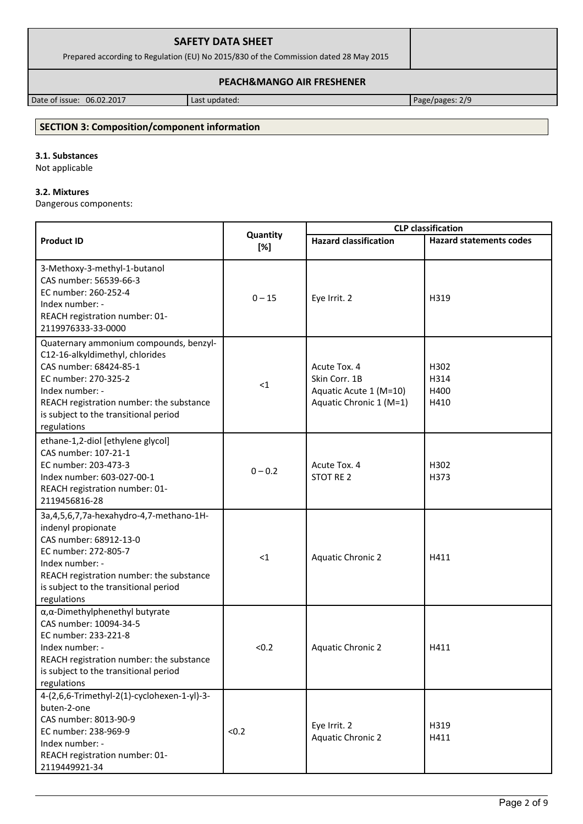| <b>SAFETY DATA SHEET</b>                                                              |  |
|---------------------------------------------------------------------------------------|--|
| Prepared according to Regulation (EU) No 2015/830 of the Commission dated 28 May 2015 |  |
|                                                                                       |  |

### **PEACH&MANGO AIR FRESHENER**

Date of issue: 06.02.2017 | Last updated: Page/pages: 2/9

# **SECTION 3: Composition/component information**

# **3.1. Substances**

Not applicable

# **3.2. Mixtures**

Dangerous components:

|                                                                                                                                                                                                                                                    |           | <b>CLP</b> classification                                                          |                              |
|----------------------------------------------------------------------------------------------------------------------------------------------------------------------------------------------------------------------------------------------------|-----------|------------------------------------------------------------------------------------|------------------------------|
| Quantity<br><b>Product ID</b><br><b>Hazard classification</b><br>[%]                                                                                                                                                                               |           | <b>Hazard statements codes</b>                                                     |                              |
| 3-Methoxy-3-methyl-1-butanol<br>CAS number: 56539-66-3<br>EC number: 260-252-4<br>Index number: -<br>REACH registration number: 01-<br>2119976333-33-0000                                                                                          | $0 - 15$  | Eye Irrit. 2                                                                       | H319                         |
| Quaternary ammonium compounds, benzyl-<br>C12-16-alkyldimethyl, chlorides<br>CAS number: 68424-85-1<br>EC number: 270-325-2<br>Index number: -<br>REACH registration number: the substance<br>is subject to the transitional period<br>regulations | $\leq 1$  | Acute Tox. 4<br>Skin Corr. 1B<br>Aquatic Acute 1 (M=10)<br>Aquatic Chronic 1 (M=1) | H302<br>H314<br>H400<br>H410 |
| ethane-1,2-diol [ethylene glycol]<br>CAS number: 107-21-1<br>EC number: 203-473-3<br>Index number: 603-027-00-1<br>REACH registration number: 01-<br>2119456816-28                                                                                 | $0 - 0.2$ | Acute Tox. 4<br>STOT RE 2                                                          | H302<br>H373                 |
| 3a, 4, 5, 6, 7, 7a-hexahydro-4, 7-methano-1H-<br>indenyl propionate<br>CAS number: 68912-13-0<br>EC number: 272-805-7<br>Index number: -<br>REACH registration number: the substance<br>is subject to the transitional period<br>regulations       | $\leq$ 1  | <b>Aquatic Chronic 2</b>                                                           | H411                         |
| α, α-Dimethylphenethyl butyrate<br>CAS number: 10094-34-5<br>EC number: 233-221-8<br>Index number: -<br>REACH registration number: the substance<br>is subject to the transitional period<br>regulations                                           | < 0.2     | <b>Aquatic Chronic 2</b>                                                           | H411                         |
| 4-(2,6,6-Trimethyl-2(1)-cyclohexen-1-yl)-3-<br>buten-2-one<br>CAS number: 8013-90-9<br>EC number: 238-969-9<br>Index number: -<br>REACH registration number: 01-<br>2119449921-34                                                                  | < 0.2     | Eye Irrit. 2<br><b>Aquatic Chronic 2</b>                                           | H319<br>H411                 |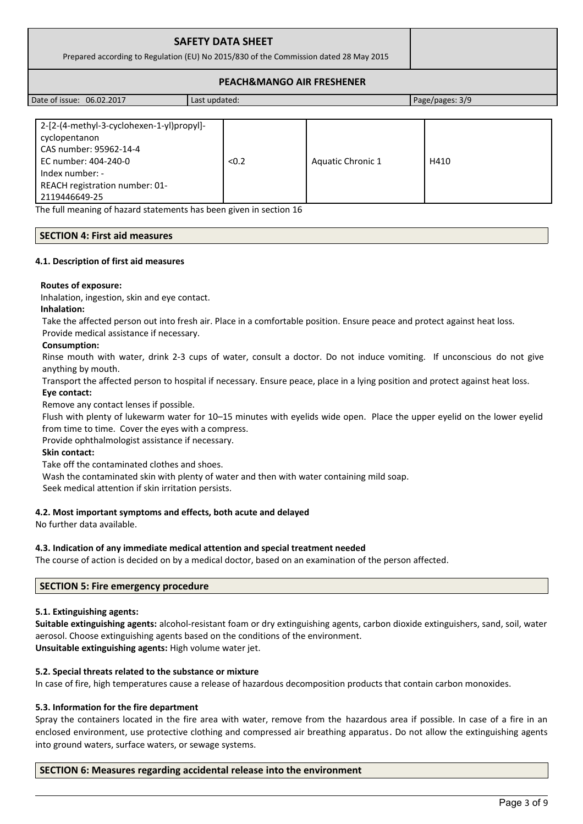|                           | <b>SAFETY DATA SHEET</b><br>Prepared according to Regulation (EU) No 2015/830 of the Commission dated 28 May 2015 |                 |
|---------------------------|-------------------------------------------------------------------------------------------------------------------|-----------------|
|                           | <b>PEACH&amp;MANGO AIR FRESHENER</b>                                                                              |                 |
| Date of issue: 06.02.2017 | Last updated:                                                                                                     | Page/pages: 3/9 |

| 2-[2-(4-methyl-3-cyclohexen-1-yl)propyl]-<br>cyclopentanon<br>CAS number: 95962-14-4<br>EC number: 404-240-0<br>Index number: - | < 0.2 | Aquatic Chronic 1 | H410 |
|---------------------------------------------------------------------------------------------------------------------------------|-------|-------------------|------|
| REACH registration number: 01-                                                                                                  |       |                   |      |
| 2119446649-25                                                                                                                   |       |                   |      |

The full meaning of hazard statements has been given in section 16

### **SECTION 4: First aid measures**

#### **4.1. Description of first aid measures**

#### **Routes of exposure:**

Inhalation, ingestion, skin and eye contact.

#### **Inhalation:**

Take the affected person out into fresh air. Place in a comfortable position. Ensure peace and protect against heat loss. Provide medical assistance if necessary.

#### **Consumption:**

Rinse mouth with water, drink 2-3 cups of water, consult a doctor. Do not induce vomiting. If unconscious do not give anything by mouth.

Transport the affected person to hospital if necessary. Ensure peace, place in a lying position and protect against heat loss.

#### **Eye contact:**

Remove any contact lenses if possible.

Flush with plenty of lukewarm water for 10–15 minutes with eyelids wide open. Place the upper eyelid on the lower eyelid from time to time. Cover the eyes with a compress.

Provide ophthalmologist assistance if necessary.

### **Skin contact:**

Take off the contaminated clothes and shoes.

Wash the contaminated skin with plenty of water and then with water containing mild soap.

Seek medical attention if skin irritation persists.

### **4.2. Most important symptoms and effects, both acute and delayed**

No further data available.

### **4.3. Indication of any immediate medical attention and special treatment needed**

The course of action is decided on by a medical doctor, based on an examination of the person affected.

### **SECTION 5: Fire emergency procedure**

### **5.1. Extinguishing agents:**

**Suitable extinguishing agents:** alcohol-resistant foam or dry extinguishing agents, carbon dioxide extinguishers, sand, soil, water aerosol. Choose extinguishing agents based on the conditions of the environment. **Unsuitable extinguishing agents:** High volume water jet.

### **5.2. Special threats related to the substance or mixture**

In case of fire, high temperatures cause a release of hazardous decomposition products that contain carbon monoxides.

### **5.3. Information for the fire department**

Spray the containers located in the fire area with water, remove from the hazardous area if possible. In case of a fire in an enclosed environment, use protective clothing and compressed air breathing apparatus. Do not allow the extinguishing agents into ground waters, surface waters, or sewage systems.

### **SECTION 6: Measures regarding accidental release into the environment**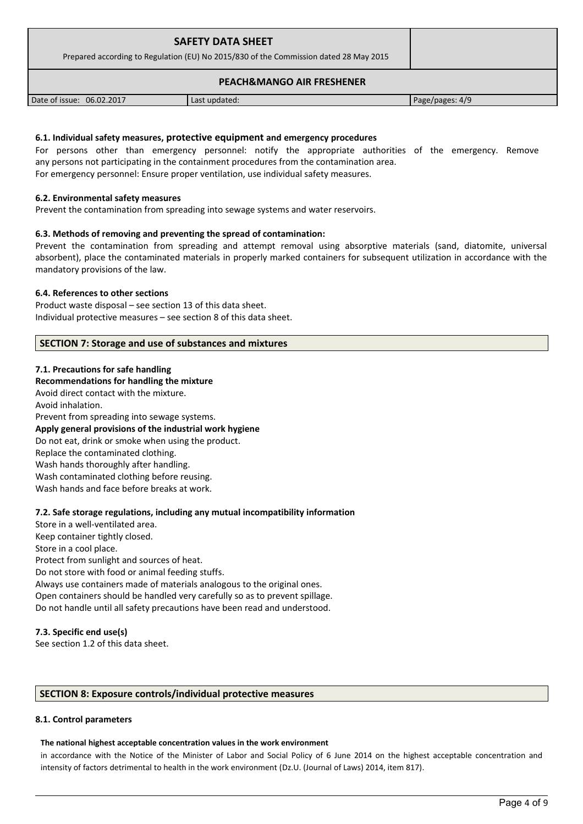| <b>SAFETY DATA SHEET</b><br>Prepared according to Regulation (EU) No 2015/830 of the Commission dated 28 May 2015 |                                      |                 |
|-------------------------------------------------------------------------------------------------------------------|--------------------------------------|-----------------|
|                                                                                                                   | <b>PEACH&amp;MANGO AIR FRESHENER</b> |                 |
| Date of issue: 06.02.2017                                                                                         | Last updated:                        | Page/pages: 4/9 |

### **6.1. Individual safety measures, protective equipment and emergency procedures**

For persons other than emergency personnel: notify the appropriate authorities of the emergency. Remove any persons not participating in the containment procedures from the contamination area. For emergency personnel: Ensure proper ventilation, use individual safety measures.

#### **6.2. Environmental safety measures**

Prevent the contamination from spreading into sewage systems and water reservoirs.

#### **6.3. Methods of removing and preventing the spread of contamination:**

Prevent the contamination from spreading and attempt removal using absorptive materials (sand, diatomite, universal absorbent), place the contaminated materials in properly marked containers for subsequent utilization in accordance with the mandatory provisions of the law.

#### **6.4. References to other sections**

Product waste disposal – see section 13 of this data sheet. Individual protective measures – see section 8 of this data sheet.

#### **SECTION 7: Storage and use of substances and mixtures**

#### **7.1. Precautions for safe handling**

#### **Recommendations for handling the mixture**

Avoid direct contact with the mixture. Avoid inhalation. Prevent from spreading into sewage systems. **Apply general provisions of the industrial work hygiene**  Do not eat, drink or smoke when using the product. Replace the contaminated clothing. Wash hands thoroughly after handling. Wash contaminated clothing before reusing. Wash hands and face before breaks at work.

### **7.2. Safe storage regulations, including any mutual incompatibility information**

Store in a well-ventilated area. Keep container tightly closed. Store in a cool place. Protect from sunlight and sources of heat. Do not store with food or animal feeding stuffs. Always use containers made of materials analogous to the original ones. Open containers should be handled very carefully so as to prevent spillage. Do not handle until all safety precautions have been read and understood.

#### **7.3. Specific end use(s)**

See section 1.2 of this data sheet.

### **SECTION 8: Exposure controls/individual protective measures**

#### **8.1. Control parameters**

#### **The national highest acceptable concentration values in the work environment**

in accordance with the Notice of the Minister of Labor and Social Policy of 6 June 2014 on the highest acceptable concentration and intensity of factors detrimental to health in the work environment (Dz.U. (Journal of Laws) 2014, item 817).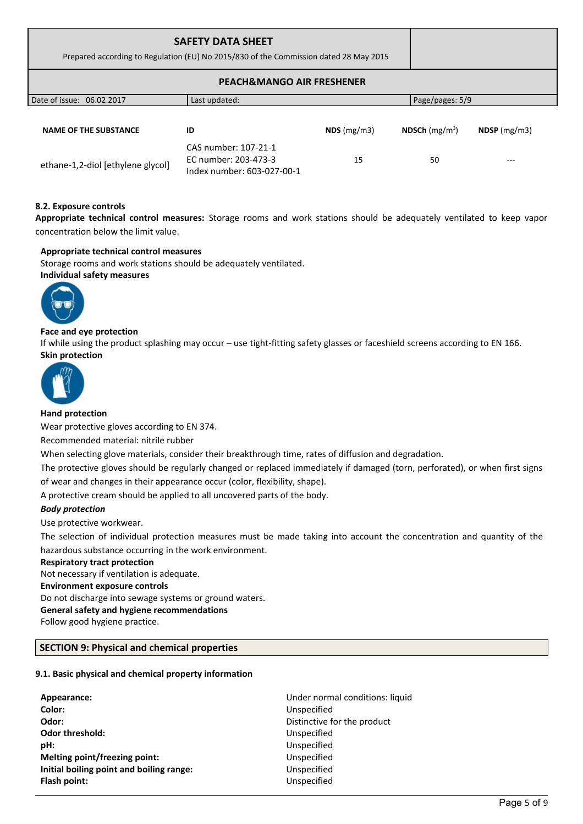| <b>SAFETY DATA SHEET</b><br>Prepared according to Regulation (EU) No 2015/830 of the Commission dated 28 May 2015 |                                                                            |               |                  |                |
|-------------------------------------------------------------------------------------------------------------------|----------------------------------------------------------------------------|---------------|------------------|----------------|
|                                                                                                                   | <b>PEACH&amp;MANGO AIR FRESHENER</b>                                       |               |                  |                |
| Date of issue: 06.02.2017                                                                                         | Last updated:                                                              |               | Page/pages: 5/9  |                |
| <b>NAME OF THE SUBSTANCE</b>                                                                                      | ID                                                                         | $NDS$ (mg/m3) | NDSCh $(mg/m^3)$ | $NDSP$ (mg/m3) |
| ethane-1,2-diol [ethylene glycol]                                                                                 | CAS number: 107-21-1<br>EC number: 203-473-3<br>Index number: 603-027-00-1 | 15            | 50               | ---            |

### **8.2. Exposure controls**

**Appropriate technical control measures:** Storage rooms and work stations should be adequately ventilated to keep vapor concentration below the limit value.

### **Appropriate technical control measures**

Storage rooms and work stations should be adequately ventilated. **Individual safety measures** 



### **Face and eye protection**

If while using the product splashing may occur – use tight-fitting safety glasses or faceshield screens according to EN 166. **Skin protection** 



### **Hand protection**

Wear protective gloves according to EN 374.

Recommended material: nitrile rubber

When selecting glove materials, consider their breakthrough time, rates of diffusion and degradation.

The protective gloves should be regularly changed or replaced immediately if damaged (torn, perforated), or when first signs of wear and changes in their appearance occur (color, flexibility, shape).

A protective cream should be applied to all uncovered parts of the body.

### *Body protection*

Use protective workwear.

The selection of individual protection measures must be made taking into account the concentration and quantity of the hazardous substance occurring in the work environment.

### **Respiratory tract protection**

Not necessary if ventilation is adequate. **Environment exposure controls**  Do not discharge into sewage systems or ground waters. **General safety and hygiene recommendations** Follow good hygiene practice.

### **SECTION 9: Physical and chemical properties**

### **9.1. Basic physical and chemical property information**

| Appearance:                              | Under normal conditions: liquid |
|------------------------------------------|---------------------------------|
| Color:                                   | Unspecified                     |
| Odor:                                    | Distinctive for the product     |
| <b>Odor threshold:</b>                   | Unspecified                     |
| pH:                                      | Unspecified                     |
| Melting point/freezing point:            | Unspecified                     |
| Initial boiling point and boiling range: | Unspecified                     |
| Flash point:                             | Unspecified                     |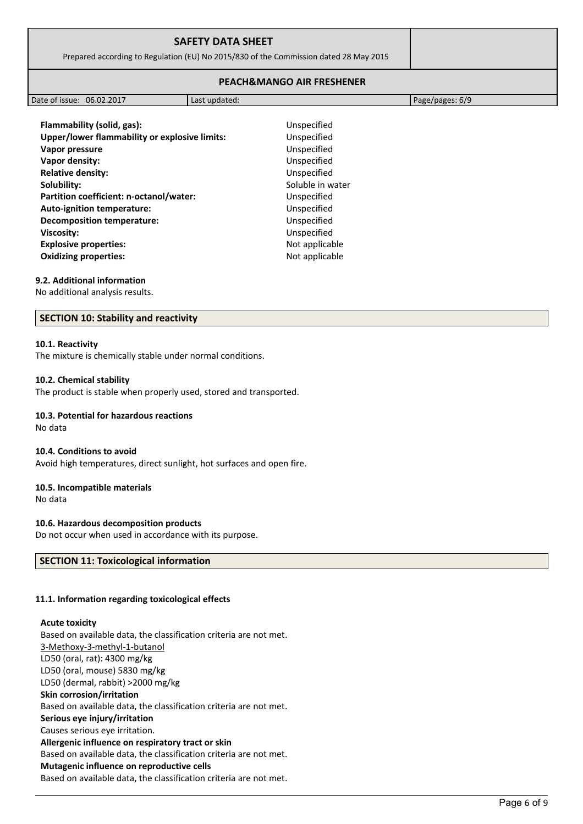| <b>SAFETY DATA SHEET</b>                                                              |  |
|---------------------------------------------------------------------------------------|--|
| Prepared according to Regulation (EU) No 2015/830 of the Commission dated 28 May 2015 |  |
|                                                                                       |  |

### **PEACH&MANGO AIR FRESHENER**

| 06.02.2017<br>Date of issue:<br>Last updated: |  |                 |
|-----------------------------------------------|--|-----------------|
|                                               |  | Page/pages: 6/9 |

**Flammability (solid, gas):** Unspecified **Unspecified Unspecified Unspecified Unspecified Soluble in water Unspecified Unspecified Unspecified Viscosity:** Unspecified **Explosive properties:** Not applicable **Not applicable** 

| Flammability (solid, gas):<br>Upper/lower flammability or explosive limits: |  |
|-----------------------------------------------------------------------------|--|
| Vapor pressure                                                              |  |
| Vapor density:                                                              |  |
| <b>Relative density:</b>                                                    |  |
| Solubility:                                                                 |  |
| Partition coefficient: n-octanol/water:                                     |  |
| <b>Auto-ignition temperature:</b>                                           |  |
| <b>Decomposition temperature:</b>                                           |  |
| <b>Viscosity:</b>                                                           |  |
| <b>Explosive properties:</b>                                                |  |
| <b>Oxidizing properties:</b>                                                |  |

#### **9.2. Additional information**

No additional analysis results.

#### **SECTION 10: Stability and reactivity**

#### **10.1. Reactivity**

The mixture is chemically stable under normal conditions.

#### **10.2. Chemical stability**

The product is stable when properly used, stored and transported.

#### **10.3. Potential for hazardous reactions**

#### No data

#### **10.4. Conditions to avoid**

Avoid high temperatures, direct sunlight, hot surfaces and open fire.

#### **10.5. Incompatible materials**

No data

#### **10.6. Hazardous decomposition products**

Do not occur when used in accordance with its purpose.

## **SECTION 11: Toxicological information**

#### **11.1. Information regarding toxicological effects**

#### **Acute toxicity**

Based on available data, the classification criteria are not met. 3-Methoxy-3-methyl-1-butanol LD50 (oral, rat): 4300 mg/kg LD50 (oral, mouse) 5830 mg/kg LD50 (dermal, rabbit) >2000 mg/kg **Skin corrosion/irritation** Based on available data, the classification criteria are not met. **Serious eye injury/irritation** Causes serious eye irritation. **Allergenic influence on respiratory tract or skin** Based on available data, the classification criteria are not met. **Mutagenic influence on reproductive cells** Based on available data, the classification criteria are not met.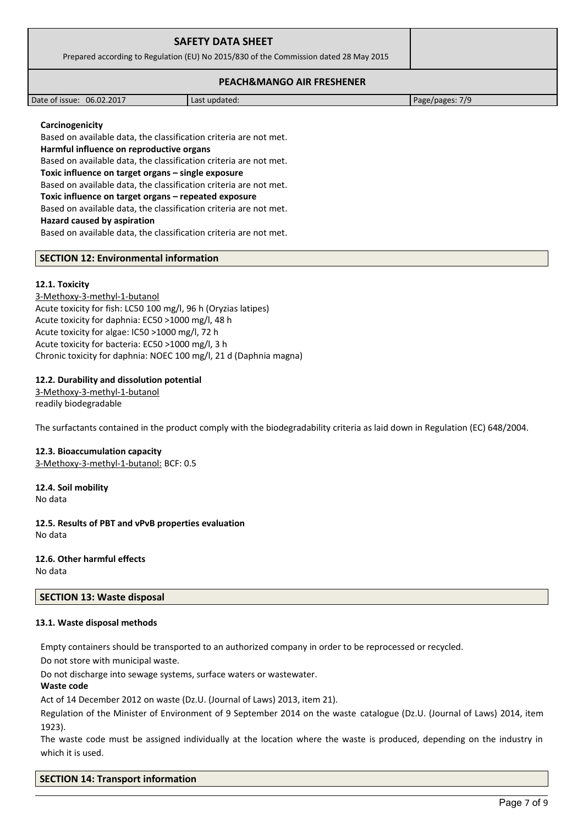| <b>SAFETY DATA SHEET</b><br>Prepared according to Regulation (EU) No 2015/830 of the Commission dated 28 May 2015 |
|-------------------------------------------------------------------------------------------------------------------|
| <b>PEACH&amp;MANGO AIR FRESHENER</b>                                                                              |

| 06.02.2017<br>Date of issue: | Last updated: | 7/9<br>Page/pages: |
|------------------------------|---------------|--------------------|

#### **Carcinogenicity**

Based on available data, the classification criteria are not met. **Harmful influence on reproductive organs** Based on available data, the classification criteria are not met. **Toxic influence on target organs – single exposure** Based on available data, the classification criteria are not met. **Toxic influence on target organs – repeated exposure** Based on available data, the classification criteria are not met. **Hazard caused by aspiration** Based on available data, the classification criteria are not met.

### **SECTION 12: Environmental information**

#### **12.1. Toxicity**

3-Methoxy-3-methyl-1-butanol Acute toxicity for fish: LC50 100 mg/l, 96 h (Oryzias latipes) Acute toxicity for daphnia: EC50 >1000 mg/l, 48 h Acute toxicity for algae: IC50 >1000 mg/l, 72 h Acute toxicity for bacteria: EC50 >1000 mg/l, 3 h Chronic toxicity for daphnia: NOEC 100 mg/l, 21 d (Daphnia magna)

### **12.2. Durability and dissolution potential**

3-Methoxy-3-methyl-1-butanol readily biodegradable

The surfactants contained in the product comply with the biodegradability criteria as laid down in Regulation (EC) 648/2004.

# **12.3. Bioaccumulation capacity**

3-Methoxy-3-methyl-1-butanol: BCF: 0.5

**12.4. Soil mobility** No data

**12.5. Results of PBT and vPvB properties evaluation** No data

# **12.6. Other harmful effects**

No data

### **SECTION 13: Waste disposal**

#### **13.1. Waste disposal methods**

Empty containers should be transported to an authorized company in order to be reprocessed or recycled.

Do not store with municipal waste.

Do not discharge into sewage systems, surface waters or wastewater.

#### **Waste code**

Act of 14 December 2012 on waste (Dz.U. (Journal of Laws) 2013, item 21).

Regulation of the Minister of Environment of 9 September 2014 on the waste catalogue (Dz.U. (Journal of Laws) 2014, item 1923).

The waste code must be assigned individually at the location where the waste is produced, depending on the industry in which it is used.

### **SECTION 14: Transport information**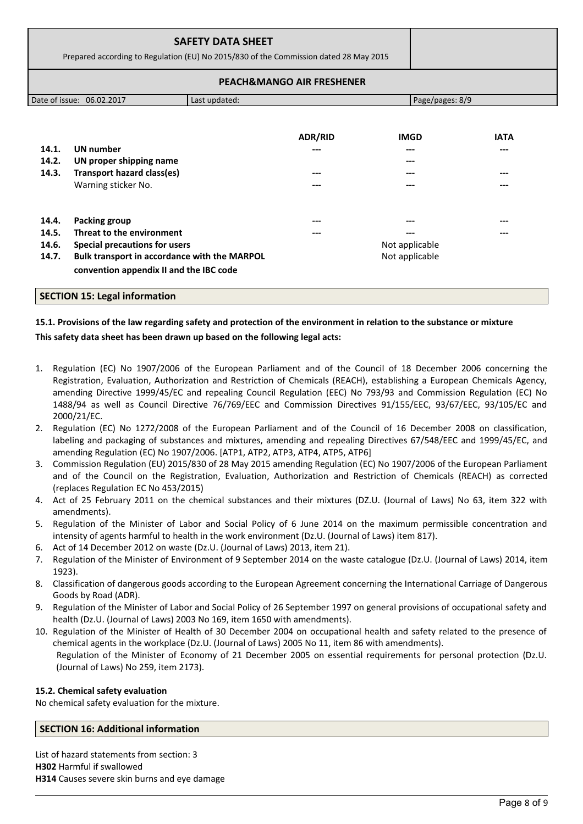|                                                                                       |                                                                                         | <b>SAFETY DATA SHEET</b> |                |                 |             |  |  |  |
|---------------------------------------------------------------------------------------|-----------------------------------------------------------------------------------------|--------------------------|----------------|-----------------|-------------|--|--|--|
| Prepared according to Regulation (EU) No 2015/830 of the Commission dated 28 May 2015 |                                                                                         |                          |                |                 |             |  |  |  |
| <b>PEACH&amp;MANGO AIR FRESHENER</b>                                                  |                                                                                         |                          |                |                 |             |  |  |  |
|                                                                                       | Date of issue: 06.02.2017                                                               | Last updated:            |                | Page/pages: 8/9 |             |  |  |  |
|                                                                                       |                                                                                         |                          |                |                 |             |  |  |  |
|                                                                                       |                                                                                         |                          | <b>ADR/RID</b> | <b>IMGD</b>     | <b>IATA</b> |  |  |  |
| 14.1.                                                                                 | <b>UN number</b>                                                                        |                          |                |                 |             |  |  |  |
| 14.2.                                                                                 | UN proper shipping name                                                                 |                          |                |                 |             |  |  |  |
| 14.3.                                                                                 | Transport hazard class(es)                                                              |                          |                |                 |             |  |  |  |
|                                                                                       | Warning sticker No.                                                                     |                          | ---            | ---             | ---         |  |  |  |
| 14.4.                                                                                 | Packing group                                                                           |                          |                |                 |             |  |  |  |
| 14.5.                                                                                 | Threat to the environment                                                               |                          |                |                 |             |  |  |  |
| 14.6.                                                                                 | <b>Special precautions for users</b>                                                    |                          |                | Not applicable  |             |  |  |  |
| 14.7.                                                                                 | Bulk transport in accordance with the MARPOL<br>convention appendix II and the IBC code |                          |                | Not applicable  |             |  |  |  |

### **SECTION 15: Legal information**

# **15.1. Provisions of the law regarding safety and protection of the environment in relation to the substance or mixture This safety data sheet has been drawn up based on the following legal acts:**

- 1. Regulation (EC) No 1907/2006 of the European Parliament and of the Council of 18 December 2006 concerning the Registration, Evaluation, Authorization and Restriction of Chemicals (REACH), establishing a European Chemicals Agency, amending Directive 1999/45/EC and repealing Council Regulation (EEC) No 793/93 and Commission Regulation (EC) No 1488/94 as well as Council Directive 76/769/EEC and Commission Directives 91/155/EEC, 93/67/EEC, 93/105/EC and 2000/21/EC.
- 2. Regulation (EC) No 1272/2008 of the European Parliament and of the Council of 16 December 2008 on classification, labeling and packaging of substances and mixtures, amending and repealing Directives 67/548/EEC and 1999/45/EC, and amending Regulation (EC) No 1907/2006. [ATP1, ATP2, ATP3, ATP4, ATP5, ATP6]
- 3. Commission Regulation (EU) 2015/830 of 28 May 2015 amending Regulation (EC) No 1907/2006 of the European Parliament and of the Council on the Registration, Evaluation, Authorization and Restriction of Chemicals (REACH) as corrected (replaces Regulation EC No 453/2015)
- 4. Act of 25 February 2011 on the chemical substances and their mixtures (DZ.U. (Journal of Laws) No 63, item 322 with amendments).
- 5. Regulation of the Minister of Labor and Social Policy of 6 June 2014 on the maximum permissible concentration and intensity of agents harmful to health in the work environment (Dz.U. (Journal of Laws) item 817).
- 6. Act of 14 December 2012 on waste (Dz.U. (Journal of Laws) 2013, item 21).
- 7. Regulation of the Minister of Environment of 9 September 2014 on the waste catalogue (Dz.U. (Journal of Laws) 2014, item 1923).
- 8. Classification of dangerous goods according to the European Agreement concerning the International Carriage of Dangerous Goods by Road (ADR).
- 9. Regulation of the Minister of Labor and Social Policy of 26 September 1997 on general provisions of occupational safety and health (Dz.U. (Journal of Laws) 2003 No 169, item 1650 with amendments).
- 10. Regulation of the Minister of Health of 30 December 2004 on occupational health and safety related to the presence of chemical agents in the workplace (Dz.U. (Journal of Laws) 2005 No 11, item 86 with amendments). Regulation of the Minister of Economy of 21 December 2005 on essential requirements for personal protection (Dz.U. (Journal of Laws) No 259, item 2173).

### **15.2. Chemical safety evaluation**

No chemical safety evaluation for the mixture.

### **SECTION 16: Additional information**

List of hazard statements from section: 3 **H302** Harmful if swallowed **H314** Causes severe skin burns and eye damage